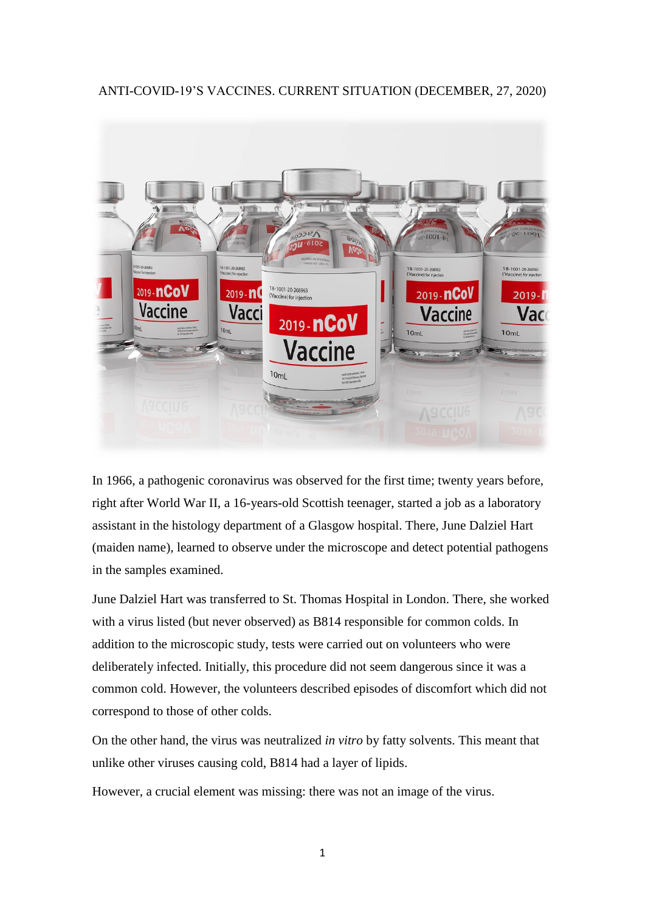## ANTI-COVID-19'S VACCINES. CURRENT SITUATION (DECEMBER, 27, 2020)



In 1966, a pathogenic coronavirus was observed for the first time; twenty years before, right after World War II, a 16-years-old Scottish teenager, started a job as a laboratory assistant in the histology department of a Glasgow hospital. There, June Dalziel Hart (maiden name), learned to observe under the microscope and detect potential pathogens in the samples examined.

June Dalziel Hart was transferred to St. Thomas Hospital in London. There, she worked with a virus listed (but never observed) as B814 responsible for common colds. In addition to the microscopic study, tests were carried out on volunteers who were deliberately infected. Initially, this procedure did not seem dangerous since it was a common cold. However, the volunteers described episodes of discomfort which did not correspond to those of other colds.

On the other hand, the virus was neutralized *in vitro* by fatty solvents. This meant that unlike other viruses causing cold, B814 had a layer of lipids.

However, a crucial element was missing: there was not an image of the virus.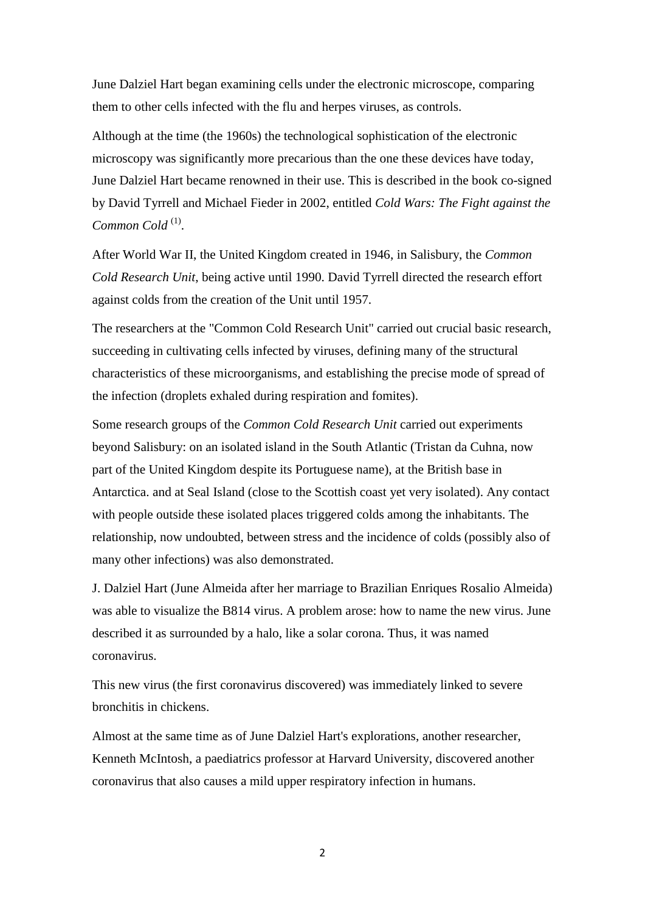June Dalziel Hart began examining cells under the electronic microscope, comparing them to other cells infected with the flu and herpes viruses, as controls.

Although at the time (the 1960s) the technological sophistication of the electronic microscopy was significantly more precarious than the one these devices have today, June Dalziel Hart became renowned in their use. This is described in the book co-signed by David Tyrrell and Michael Fieder in 2002, entitled *Cold Wars: The Fight against the*  Common Cold<sup>(1)</sup>.

After World War II, the United Kingdom created in 1946, in Salisbury, the *Common Cold Research Unit*, being active until 1990. David Tyrrell directed the research effort against colds from the creation of the Unit until 1957.

The researchers at the "Common Cold Research Unit" carried out crucial basic research, succeeding in cultivating cells infected by viruses, defining many of the structural characteristics of these microorganisms, and establishing the precise mode of spread of the infection (droplets exhaled during respiration and fomites).

Some research groups of the *Common Cold Research Unit* carried out experiments beyond Salisbury: on an isolated island in the South Atlantic (Tristan da Cuhna, now part of the United Kingdom despite its Portuguese name), at the British base in Antarctica. and at Seal Island (close to the Scottish coast yet very isolated). Any contact with people outside these isolated places triggered colds among the inhabitants. The relationship, now undoubted, between stress and the incidence of colds (possibly also of many other infections) was also demonstrated.

J. Dalziel Hart (June Almeida after her marriage to Brazilian Enriques Rosalio Almeida) was able to visualize the B814 virus. A problem arose: how to name the new virus. June described it as surrounded by a halo, like a solar corona. Thus, it was named coronavirus.

This new virus (the first coronavirus discovered) was immediately linked to severe bronchitis in chickens.

Almost at the same time as of June Dalziel Hart's explorations, another researcher, Kenneth McIntosh, a paediatrics professor at Harvard University, discovered another coronavirus that also causes a mild upper respiratory infection in humans.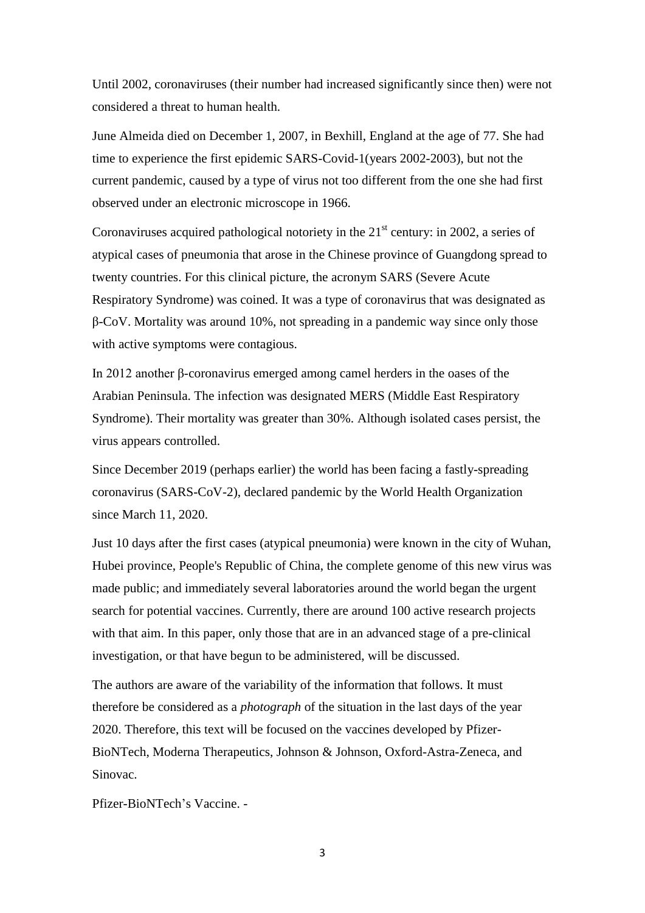Until 2002, coronaviruses (their number had increased significantly since then) were not considered a threat to human health.

June Almeida died on December 1, 2007, in Bexhill, England at the age of 77. She had time to experience the first epidemic SARS-Covid-1(years 2002-2003), but not the current pandemic, caused by a type of virus not too different from the one she had first observed under an electronic microscope in 1966.

Coronaviruses acquired pathological notoriety in the  $21<sup>st</sup>$  century: in 2002, a series of atypical cases of pneumonia that arose in the Chinese province of Guangdong spread to twenty countries. For this clinical picture, the acronym SARS (Severe Acute Respiratory Syndrome) was coined. It was a type of coronavirus that was designated as β-CoV. Mortality was around 10%, not spreading in a pandemic way since only those with active symptoms were contagious.

In 2012 another β-coronavirus emerged among camel herders in the oases of the Arabian Peninsula. The infection was designated MERS (Middle East Respiratory Syndrome). Their mortality was greater than 30%. Although isolated cases persist, the virus appears controlled.

Since December 2019 (perhaps earlier) the world has been facing a fastly-spreading coronavirus (SARS-CoV-2), declared pandemic by the World Health Organization since March 11, 2020.

Just 10 days after the first cases (atypical pneumonia) were known in the city of Wuhan, Hubei province, People's Republic of China, the complete genome of this new virus was made public; and immediately several laboratories around the world began the urgent search for potential vaccines. Currently, there are around 100 active research projects with that aim. In this paper, only those that are in an advanced stage of a pre-clinical investigation, or that have begun to be administered, will be discussed.

The authors are aware of the variability of the information that follows. It must therefore be considered as a *photograph* of the situation in the last days of the year 2020. Therefore, this text will be focused on the vaccines developed by Pfizer-BioNTech, Moderna Therapeutics, Johnson & Johnson, Oxford-Astra-Zeneca, and Sinovac.

Pfizer-BioNTech's Vaccine. -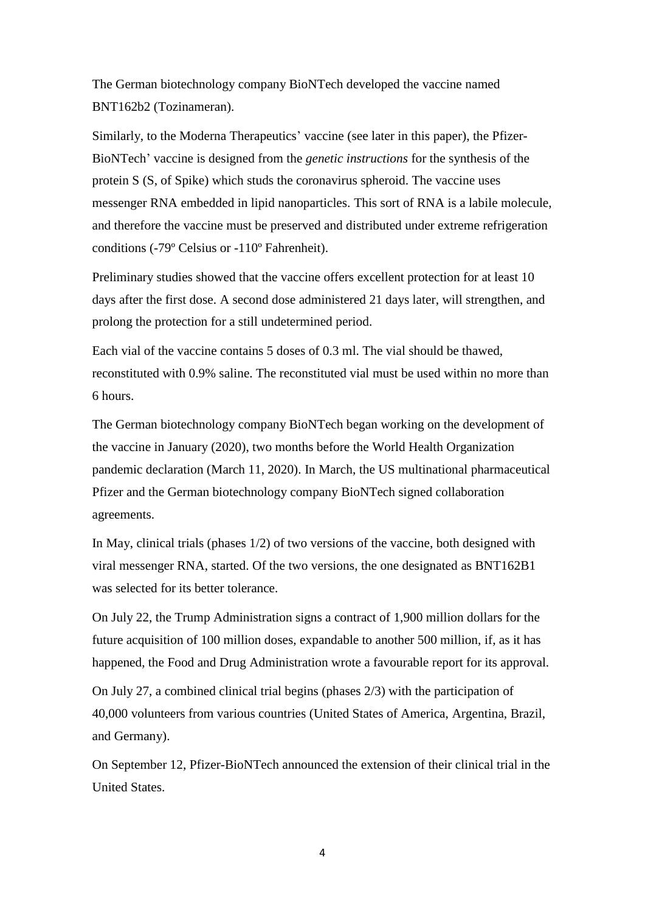The German biotechnology company BioNTech developed the vaccine named BNT162b2 (Tozinameran).

Similarly, to the Moderna Therapeutics' vaccine (see later in this paper), the Pfizer-BioNTech' vaccine is designed from the *genetic instructions* for the synthesis of the protein S (S, of Spike) which studs the coronavirus spheroid. The vaccine uses messenger RNA embedded in lipid nanoparticles. This sort of RNA is a labile molecule, and therefore the vaccine must be preserved and distributed under extreme refrigeration conditions (-79º Celsius or -110º Fahrenheit).

Preliminary studies showed that the vaccine offers excellent protection for at least 10 days after the first dose. A second dose administered 21 days later, will strengthen, and prolong the protection for a still undetermined period.

Each vial of the vaccine contains 5 doses of 0.3 ml. The vial should be thawed, reconstituted with 0.9% saline. The reconstituted vial must be used within no more than 6 hours.

The German biotechnology company BioNTech began working on the development of the vaccine in January (2020), two months before the World Health Organization pandemic declaration (March 11, 2020). In March, the US multinational pharmaceutical Pfizer and the German biotechnology company BioNTech signed collaboration agreements.

In May, clinical trials (phases 1/2) of two versions of the vaccine, both designed with viral messenger RNA, started. Of the two versions, the one designated as BNT162B1 was selected for its better tolerance.

On July 22, the Trump Administration signs a contract of 1,900 million dollars for the future acquisition of 100 million doses, expandable to another 500 million, if, as it has happened, the Food and Drug Administration wrote a favourable report for its approval.

On July 27, a combined clinical trial begins (phases 2/3) with the participation of 40,000 volunteers from various countries (United States of America, Argentina, Brazil, and Germany).

On September 12, Pfizer-BioNTech announced the extension of their clinical trial in the United States.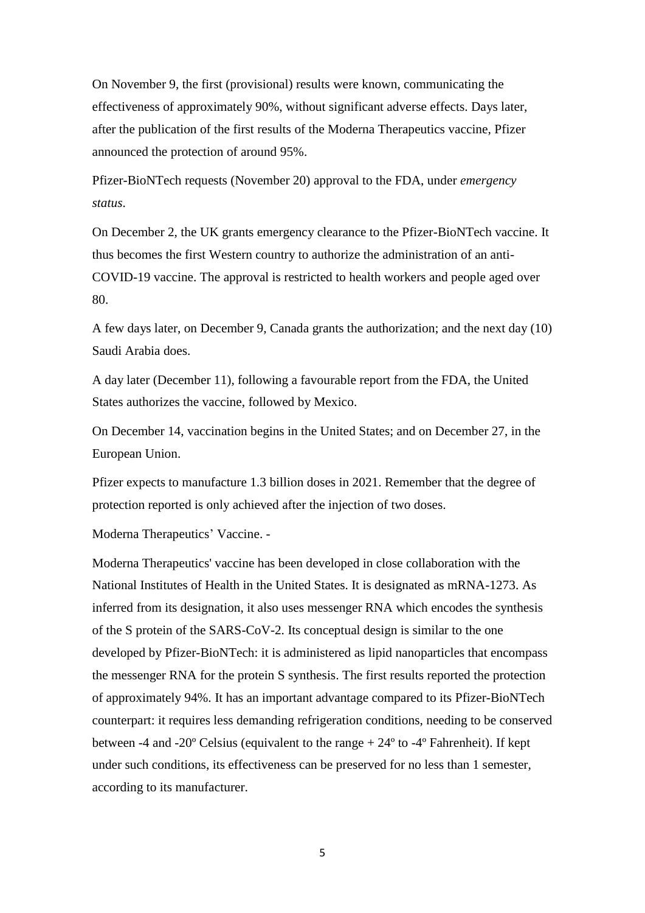On November 9, the first (provisional) results were known, communicating the effectiveness of approximately 90%, without significant adverse effects. Days later, after the publication of the first results of the Moderna Therapeutics vaccine, Pfizer announced the protection of around 95%.

Pfizer-BioNTech requests (November 20) approval to the FDA, under *emergency status*.

On December 2, the UK grants emergency clearance to the Pfizer-BioNTech vaccine. It thus becomes the first Western country to authorize the administration of an anti-COVID-19 vaccine. The approval is restricted to health workers and people aged over 80.

A few days later, on December 9, Canada grants the authorization; and the next day (10) Saudi Arabia does.

A day later (December 11), following a favourable report from the FDA, the United States authorizes the vaccine, followed by Mexico.

On December 14, vaccination begins in the United States; and on December 27, in the European Union.

Pfizer expects to manufacture 1.3 billion doses in 2021. Remember that the degree of protection reported is only achieved after the injection of two doses.

Moderna Therapeutics' Vaccine. -

Moderna Therapeutics' vaccine has been developed in close collaboration with the National Institutes of Health in the United States. It is designated as mRNA-1273. As inferred from its designation, it also uses messenger RNA which encodes the synthesis of the S protein of the SARS-CoV-2. Its conceptual design is similar to the one developed by Pfizer-BioNTech: it is administered as lipid nanoparticles that encompass the messenger RNA for the protein S synthesis. The first results reported the protection of approximately 94%. It has an important advantage compared to its Pfizer-BioNTech counterpart: it requires less demanding refrigeration conditions, needing to be conserved between -4 and -20 $^{\circ}$  Celsius (equivalent to the range  $+ 24^{\circ}$  to -4 $^{\circ}$  Fahrenheit). If kept under such conditions, its effectiveness can be preserved for no less than 1 semester, according to its manufacturer.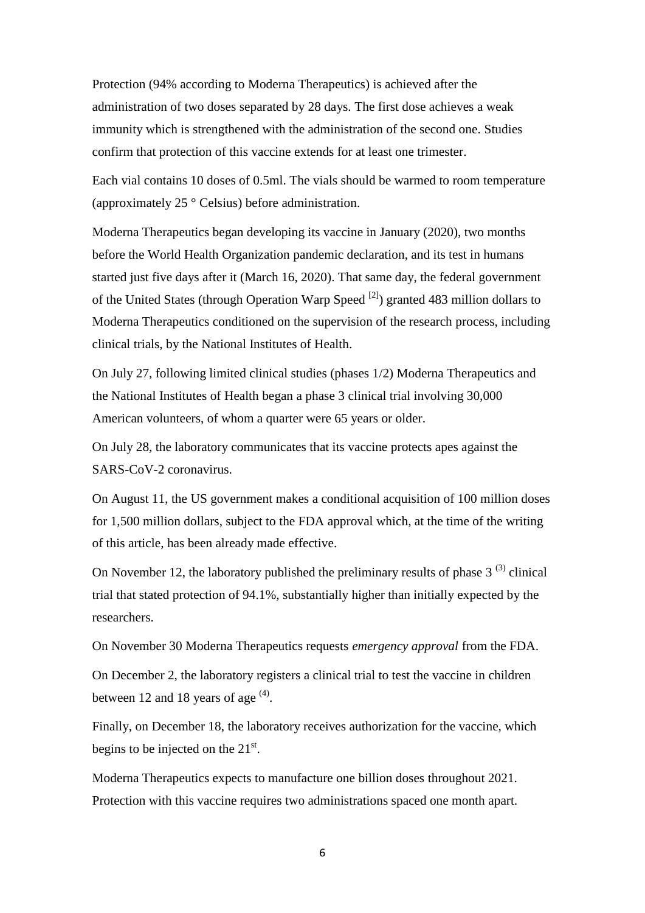Protection (94% according to Moderna Therapeutics) is achieved after the administration of two doses separated by 28 days. The first dose achieves a weak immunity which is strengthened with the administration of the second one. Studies confirm that protection of this vaccine extends for at least one trimester.

Each vial contains 10 doses of 0.5ml. The vials should be warmed to room temperature (approximately 25 ° Celsius) before administration.

Moderna Therapeutics began developing its vaccine in January (2020), two months before the World Health Organization pandemic declaration, and its test in humans started just five days after it (March 16, 2020). That same day, the federal government of the United States (through Operation Warp Speed  $^{[2]}$ ) granted 483 million dollars to Moderna Therapeutics conditioned on the supervision of the research process, including clinical trials, by the National Institutes of Health.

On July 27, following limited clinical studies (phases 1/2) Moderna Therapeutics and the National Institutes of Health began a phase 3 clinical trial involving 30,000 American volunteers, of whom a quarter were 65 years or older.

On July 28, the laboratory communicates that its vaccine protects apes against the SARS-CoV-2 coronavirus.

On August 11, the US government makes a conditional acquisition of 100 million doses for 1,500 million dollars, subject to the FDA approval which, at the time of the writing of this article, has been already made effective.

On November 12, the laboratory published the preliminary results of phase  $3^{(3)}$  clinical trial that stated protection of 94.1%, substantially higher than initially expected by the researchers.

On November 30 Moderna Therapeutics requests *emergency approval* from the FDA.

On December 2, the laboratory registers a clinical trial to test the vaccine in children between 12 and 18 years of age  $(4)$ .

Finally, on December 18, the laboratory receives authorization for the vaccine, which begins to be injected on the  $21^{st}$ .

Moderna Therapeutics expects to manufacture one billion doses throughout 2021. Protection with this vaccine requires two administrations spaced one month apart.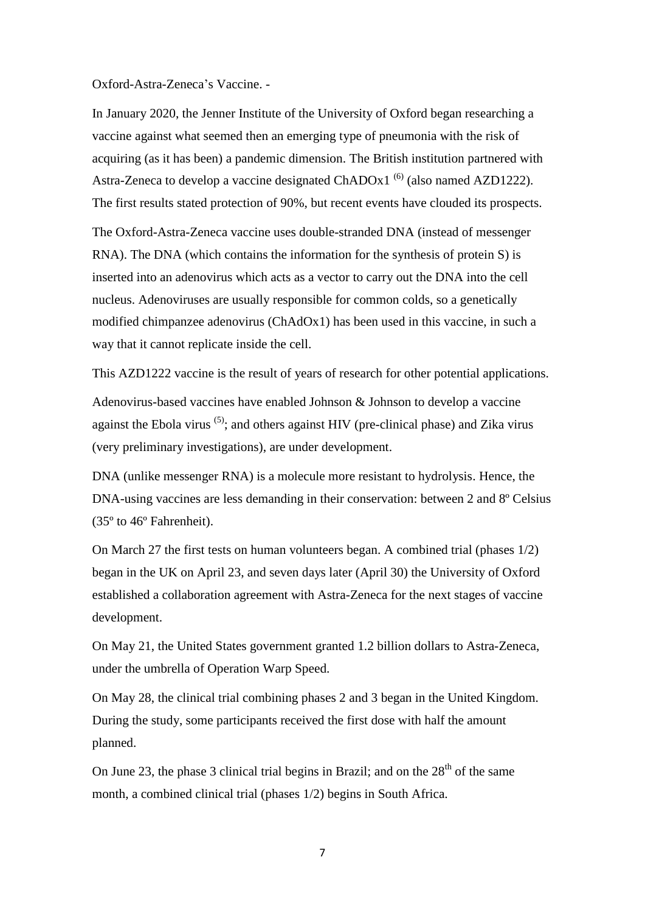## Oxford-Astra-Zeneca's Vaccine. -

In January 2020, the Jenner Institute of the University of Oxford began researching a vaccine against what seemed then an emerging type of pneumonia with the risk of acquiring (as it has been) a pandemic dimension. The British institution partnered with Astra-Zeneca to develop a vaccine designated ChADOx1<sup>(6)</sup> (also named AZD1222). The first results stated protection of 90%, but recent events have clouded its prospects.

The Oxford-Astra-Zeneca vaccine uses double-stranded DNA (instead of messenger RNA). The DNA (which contains the information for the synthesis of protein S) is inserted into an adenovirus which acts as a vector to carry out the DNA into the cell nucleus. Adenoviruses are usually responsible for common colds, so a genetically modified chimpanzee adenovirus (ChAdOx1) has been used in this vaccine, in such a way that it cannot replicate inside the cell.

This AZD1222 vaccine is the result of years of research for other potential applications.

Adenovirus-based vaccines have enabled Johnson & Johnson to develop a vaccine against the Ebola virus  $(5)$ ; and others against HIV (pre-clinical phase) and Zika virus (very preliminary investigations), are under development.

DNA (unlike messenger RNA) is a molecule more resistant to hydrolysis. Hence, the DNA-using vaccines are less demanding in their conservation: between 2 and 8<sup>°</sup> Celsius (35º to 46º Fahrenheit).

On March 27 the first tests on human volunteers began. A combined trial (phases 1/2) began in the UK on April 23, and seven days later (April 30) the University of Oxford established a collaboration agreement with Astra-Zeneca for the next stages of vaccine development.

On May 21, the United States government granted 1.2 billion dollars to Astra-Zeneca, under the umbrella of Operation Warp Speed.

On May 28, the clinical trial combining phases 2 and 3 began in the United Kingdom. During the study, some participants received the first dose with half the amount planned.

On June 23, the phase 3 clinical trial begins in Brazil; and on the  $28<sup>th</sup>$  of the same month, a combined clinical trial (phases 1/2) begins in South Africa.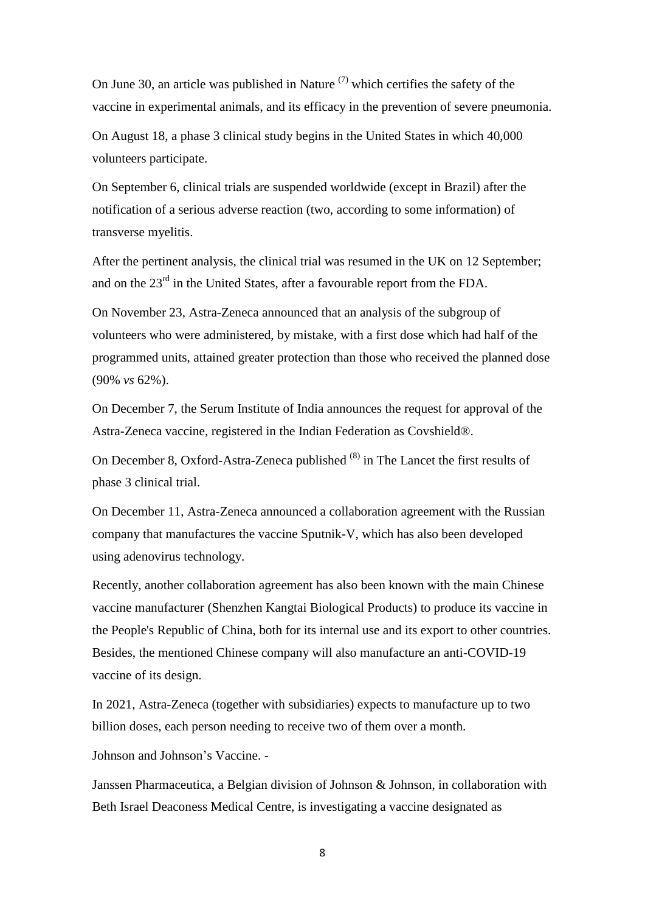On June 30, an article was published in Nature  $(7)$  which certifies the safety of the vaccine in experimental animals, and its efficacy in the prevention of severe pneumonia.

On August 18, a phase 3 clinical study begins in the United States in which 40,000 volunteers participate.

On September 6, clinical trials are suspended worldwide (except in Brazil) after the notification of a serious adverse reaction (two, according to some information) of transverse myelitis.

After the pertinent analysis, the clinical trial was resumed in the UK on 12 September; and on the  $23<sup>rd</sup>$  in the United States, after a favourable report from the FDA.

On November 23, Astra-Zeneca announced that an analysis of the subgroup of volunteers who were administered, by mistake, with a first dose which had half of the programmed units, attained greater protection than those who received the planned dose (90% *vs* 62%).

On December 7, the Serum Institute of India announces the request for approval of the Astra-Zeneca vaccine, registered in the Indian Federation as Covshield®.

On December 8, Oxford-Astra-Zeneca published  $(8)$  in The Lancet the first results of phase 3 clinical trial.

On December 11, Astra-Zeneca announced a collaboration agreement with the Russian company that manufactures the vaccine Sputnik-V, which has also been developed using adenovirus technology.

Recently, another collaboration agreement has also been known with the main Chinese vaccine manufacturer (Shenzhen Kangtai Biological Products) to produce its vaccine in the People's Republic of China, both for its internal use and its export to other countries. Besides, the mentioned Chinese company will also manufacture an anti-COVID-19 vaccine of its design.

In 2021, Astra-Zeneca (together with subsidiaries) expects to manufacture up to two billion doses, each person needing to receive two of them over a month.

Johnson and Johnson's Vaccine. -

Janssen Pharmaceutica, a Belgian division of Johnson & Johnson, in collaboration with Beth Israel Deaconess Medical Centre, is investigating a vaccine designated as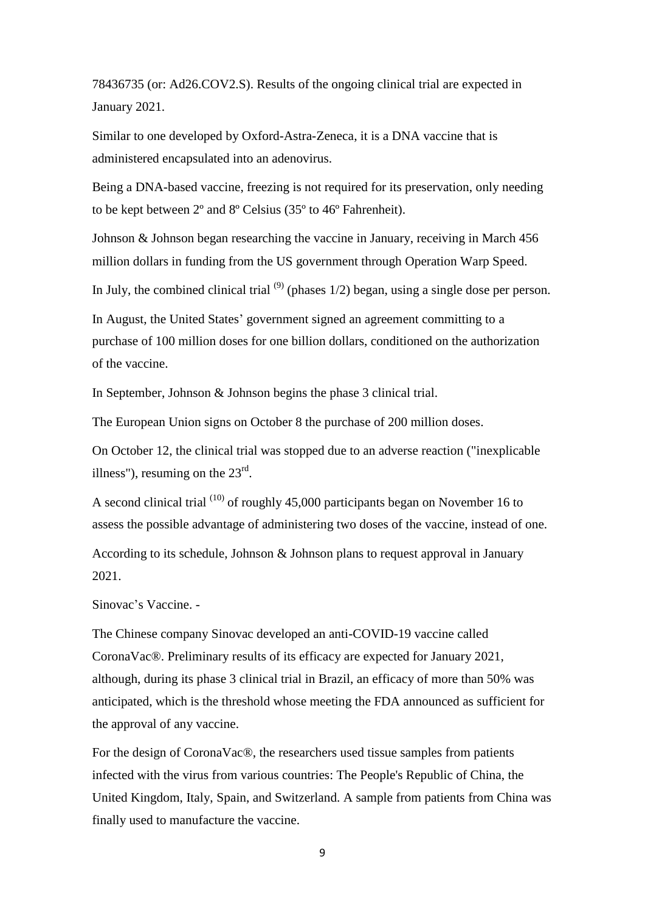78436735 (or: Ad26.COV2.S). Results of the ongoing clinical trial are expected in January 2021.

Similar to one developed by Oxford-Astra-Zeneca, it is a DNA vaccine that is administered encapsulated into an adenovirus.

Being a DNA-based vaccine, freezing is not required for its preservation, only needing to be kept between 2º and 8º Celsius (35º to 46º Fahrenheit).

Johnson & Johnson began researching the vaccine in January, receiving in March 456 million dollars in funding from the US government through Operation Warp Speed.

In July, the combined clinical trial  $(9)$  (phases 1/2) began, using a single dose per person.

In August, the United States' government signed an agreement committing to a purchase of 100 million doses for one billion dollars, conditioned on the authorization of the vaccine.

In September, Johnson & Johnson begins the phase 3 clinical trial.

The European Union signs on October 8 the purchase of 200 million doses.

On October 12, the clinical trial was stopped due to an adverse reaction ("inexplicable illness"), resuming on the  $23<sup>rd</sup>$ .

A second clinical trial  $(10)$  of roughly 45,000 participants began on November 16 to assess the possible advantage of administering two doses of the vaccine, instead of one. According to its schedule, Johnson & Johnson plans to request approval in January 2021.

Sinovac's Vaccine. -

The Chinese company Sinovac developed an anti-COVID-19 vaccine called CoronaVac®. Preliminary results of its efficacy are expected for January 2021, although, during its phase 3 clinical trial in Brazil, an efficacy of more than 50% was anticipated, which is the threshold whose meeting the FDA announced as sufficient for the approval of any vaccine.

For the design of CoronaVac®, the researchers used tissue samples from patients infected with the virus from various countries: The People's Republic of China, the United Kingdom, Italy, Spain, and Switzerland. A sample from patients from China was finally used to manufacture the vaccine.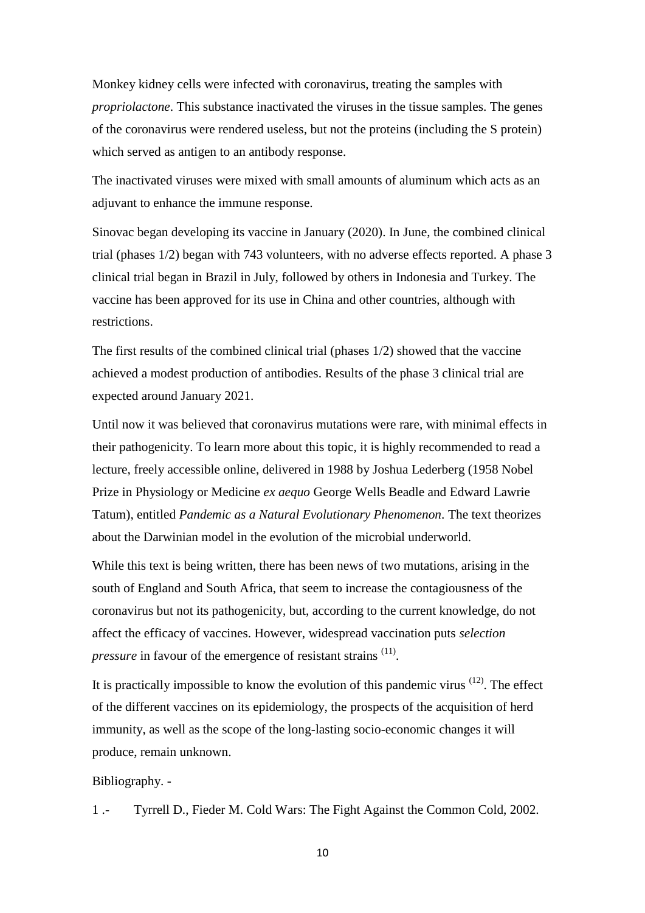Monkey kidney cells were infected with coronavirus, treating the samples with *propriolactone*. This substance inactivated the viruses in the tissue samples. The genes of the coronavirus were rendered useless, but not the proteins (including the S protein) which served as antigen to an antibody response.

The inactivated viruses were mixed with small amounts of aluminum which acts as an adjuvant to enhance the immune response.

Sinovac began developing its vaccine in January (2020). In June, the combined clinical trial (phases 1/2) began with 743 volunteers, with no adverse effects reported. A phase 3 clinical trial began in Brazil in July, followed by others in Indonesia and Turkey. The vaccine has been approved for its use in China and other countries, although with restrictions.

The first results of the combined clinical trial (phases 1/2) showed that the vaccine achieved a modest production of antibodies. Results of the phase 3 clinical trial are expected around January 2021.

Until now it was believed that coronavirus mutations were rare, with minimal effects in their pathogenicity. To learn more about this topic, it is highly recommended to read a lecture, freely accessible online, delivered in 1988 by Joshua Lederberg (1958 Nobel Prize in Physiology or Medicine *ex aequo* George Wells Beadle and Edward Lawrie Tatum), entitled *Pandemic as a Natural Evolutionary Phenomenon*. The text theorizes about the Darwinian model in the evolution of the microbial underworld.

While this text is being written, there has been news of two mutations, arising in the south of England and South Africa, that seem to increase the contagiousness of the coronavirus but not its pathogenicity, but, according to the current knowledge, do not affect the efficacy of vaccines. However, widespread vaccination puts *selection pressure* in favour of the emergence of resistant strains <sup>(11)</sup>.

It is practically impossible to know the evolution of this pandemic virus  $(12)$ . The effect of the different vaccines on its epidemiology, the prospects of the acquisition of herd immunity, as well as the scope of the long-lasting socio-economic changes it will produce, remain unknown.

Bibliography. -

1 .- Tyrrell D., Fieder M. Cold Wars: The Fight Against the Common Cold, 2002.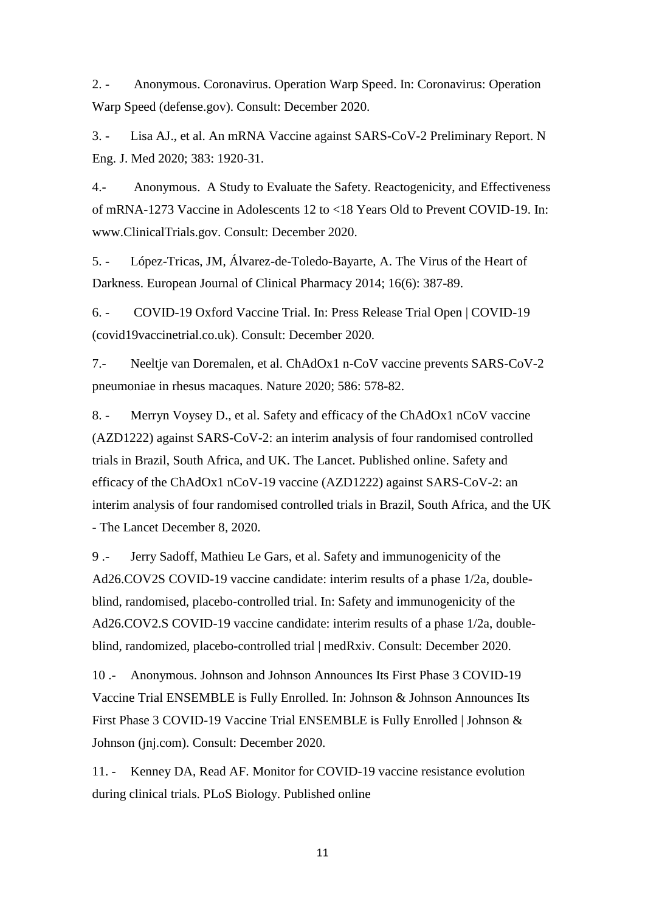2. - Anonymous. Coronavirus. Operation Warp Speed. In: Coronavirus: Operation Warp Speed (defense.gov). Consult: December 2020.

3. - Lisa AJ., et al. An mRNA Vaccine against SARS-CoV-2 Preliminary Report. N Eng. J. Med 2020; 383: 1920-31.

4.- Anonymous. A Study to Evaluate the Safety. Reactogenicity, and Effectiveness of mRNA-1273 Vaccine in Adolescents 12 to <18 Years Old to Prevent COVID-19. In: www.ClinicalTrials.gov. Consult: December 2020.

5. - López-Tricas, JM, Álvarez-de-Toledo-Bayarte, A. The Virus of the Heart of Darkness. European Journal of Clinical Pharmacy 2014; 16(6): 387-89.

6. - COVID-19 Oxford Vaccine Trial. In: Press Release Trial Open | COVID-19 (covid19vaccinetrial.co.uk). Consult: December 2020.

7.- Neeltje van Doremalen, et al. ChAdOx1 n-CoV vaccine prevents SARS-CoV-2 pneumoniae in rhesus macaques. Nature 2020; 586: 578-82.

8. - Merryn Voysey D., et al. Safety and efficacy of the ChAdOx1 nCoV vaccine (AZD1222) against SARS-CoV-2: an interim analysis of four randomised controlled trials in Brazil, South Africa, and UK. The Lancet. Published online. Safety and efficacy of the ChAdOx1 nCoV-19 vaccine (AZD1222) against SARS-CoV-2: an interim analysis of four randomised controlled trials in Brazil, South Africa, and the UK - The Lancet December 8, 2020.

9 .- Jerry Sadoff, Mathieu Le Gars, et al. Safety and immunogenicity of the Ad26.COV2S COVID-19 vaccine candidate: interim results of a phase 1/2a, doubleblind, randomised, placebo-controlled trial. In: Safety and immunogenicity of the Ad26.COV2.S COVID-19 vaccine candidate: interim results of a phase 1/2a, doubleblind, randomized, placebo-controlled trial | medRxiv. Consult: December 2020.

10 .- Anonymous. Johnson and Johnson Announces Its First Phase 3 COVID-19 Vaccine Trial ENSEMBLE is Fully Enrolled. In: Johnson & Johnson Announces Its First Phase 3 COVID-19 Vaccine Trial ENSEMBLE is Fully Enrolled | Johnson & Johnson (jnj.com). Consult: December 2020.

11. - Kenney DA, Read AF. Monitor for COVID-19 vaccine resistance evolution during clinical trials. PLoS Biology. Published online